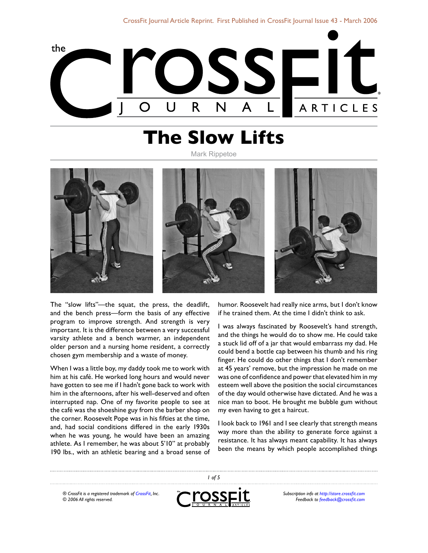

# **The Slow Lifts**

Mark Rippetoe



The "slow lifts"—the squat, the press, the deadlift, and the bench press—form the basis of any effective program to improve strength. And strength is very important. It is the difference between a very successful varsity athlete and a bench warmer, an independent older person and a nursing home resident, a correctly chosen gym membership and a waste of money.

When I was a little boy, my daddy took me to work with him at his café. He worked long hours and would never have gotten to see me if I hadn't gone back to work with him in the afternoons, after his well-deserved and often interrupted nap. One of my favorite people to see at the café was the shoeshine guy from the barber shop on the corner. Roosevelt Pope was in his fifties at the time, and, had social conditions differed in the early 1930s when he was young, he would have been an amazing athlete. As I remember, he was about 5'10" at probably 190 lbs., with an athletic bearing and a broad sense of humor. Roosevelt had really nice arms, but I don't know if he trained them. At the time I didn't think to ask.

I was always fascinated by Roosevelt's hand strength, and the things he would do to show me. He could take a stuck lid off of a jar that would embarrass my dad. He could bend a bottle cap between his thumb and his ring finger. He could do other things that I don't remember at 45 years' remove, but the impression he made on me was one of confidence and power that elevated him in my esteem well above the position the social circumstances of the day would otherwise have dictated. And he was a nice man to boot. He brought me bubble gum without my even having to get a haircut.

I look back to 1961 and I see clearly that strength means way more than the ability to generate force against a resistance. It has always meant capability. It has always been the means by which people accomplished things

*® CrossFit is a registered trademark of [CrossFit,](http://www.crossfit.com) Inc. © 2006 All rights reserved.*



 *of 5*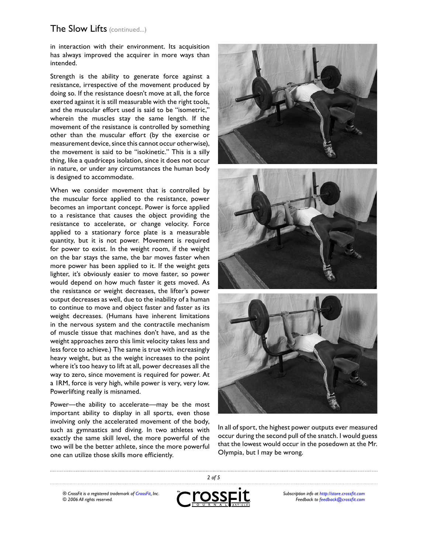in interaction with their environment. Its acquisition has always improved the acquirer in more ways than intended.

Strength is the ability to generate force against a resistance, irrespective of the movement produced by doing so. If the resistance doesn't move at all, the force exerted against it is still measurable with the right tools, and the muscular effort used is said to be "isometric," wherein the muscles stay the same length. If the movement of the resistance is controlled by something other than the muscular effort (by the exercise or measurement device, since this cannot occur otherwise), the movement is said to be "isokinetic." This is a silly thing, like a quadriceps isolation, since it does not occur in nature, or under any circumstances the human body is designed to accommodate.

When we consider movement that is controlled by the muscular force applied to the resistance, power becomes an important concept. Power is force applied to a resistance that causes the object providing the resistance to accelerate, or change velocity. Force applied to a stationary force plate is a measurable quantity, but it is not power. Movement is required for power to exist. In the weight room, if the weight on the bar stays the same, the bar moves faster when more power has been applied to it. If the weight gets lighter, it's obviously easier to move faster, so power would depend on how much faster it gets moved. As the resistance or weight decreases, the lifter's power output decreases as well, due to the inability of a human to continue to move and object faster and faster as its weight decreases. (Humans have inherent limitations in the nervous system and the contractile mechanism of muscle tissue that machines don't have, and as the weight approaches zero this limit velocity takes less and less force to achieve.) The same is true with increasingly heavy weight, but as the weight increases to the point where it's too heavy to lift at all, power decreases all the way to zero, since movement is required for power. At a 1RM, force is very high, while power is very, very low. Powerlifting really is misnamed.

Power—the ability to accelerate—may be the most important ability to display in all sports, even those involving only the accelerated movement of the body, such as gymnastics and diving. In two athletes with exactly the same skill level, the more powerful of the two will be the better athlete, since the more powerful one can utilize those skills more efficiently.





In all of sport, the highest power outputs ever measured occur during the second pull of the snatch. I would guess that the lowest would occur in the posedown at the Mr. Olympia, but I may be wrong.

*® CrossFit is a registered trademark of [CrossFit,](http://www.crossfit.com) Inc. © 2006 All rights reserved.*



 *of 5*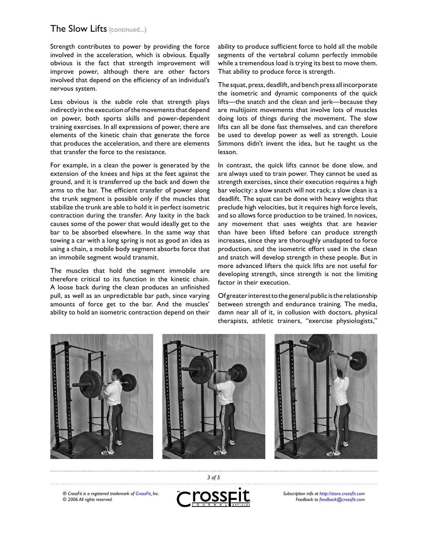Strength contributes to power by providing the force involved in the acceleration, which is obvious. Equally obvious is the fact that strength improvement will improve power, although there are other factors involved that depend on the efficiency of an individual's nervous system.

Less obvious is the subtle role that strength plays indirectly in the execution of the movements that depend on power, both sports skills and power-dependent training exercises. In all expressions of power, there are elements of the kinetic chain that generate the force that produces the acceleration, and there are elements that transfer the force to the resistance.

For example, in a clean the power is generated by the extension of the knees and hips at the feet against the ground, and it is transferred up the back and down the arms to the bar. The efficient transfer of power along the trunk segment is possible only if the muscles that stabilize the trunk are able to hold it in perfect isometric contraction during the transfer. Any laxity in the back causes some of the power that would ideally get to the bar to be absorbed elsewhere. In the same way that towing a car with a long spring is not as good an idea as using a chain, a mobile body segment absorbs force that an immobile segment would transmit.

The muscles that hold the segment immobile are therefore critical to its function in the kinetic chain. A loose back during the clean produces an unfinished pull, as well as an unpredictable bar path, since varying amounts of force get to the bar. And the muscles' ability to hold an isometric contraction depend on their ability to produce sufficient force to hold all the mobile segments of the vertebral column perfectly immobile while a tremendous load is trying its best to move them. That ability to produce force is strength.

The squat, press, deadlift, and bench press all incorporate the isometric and dynamic components of the quick lifts—the snatch and the clean and jerk—because they are multijoint movements that involve lots of muscles doing lots of things during the movement. The slow lifts can all be done fast themselves, and can therefore be used to develop power as well as strength. Louie Simmons didn't invent the idea, but he taught us the lesson.

In contrast, the quick lifts cannot be done slow, and are always used to train power. They cannot be used as strength exercises, since their execution requires a high bar velocity: a slow snatch will not rack; a slow clean is a deadlift. The squat can be done with heavy weights that preclude high velocities, but it requires high force levels, and so allows force production to be trained. In novices, any movement that uses weights that are heavier than have been lifted before can produce strength increases, since they are thoroughly unadapted to force production, and the isometric effort used in the clean and snatch will develop strength in these people. But in more advanced lifters the quick lifts are not useful for developing strength, since strength is not the limiting factor in their execution.

Of greater interest to the general public is the relationship between strength and endurance training. The media, damn near all of it, in collusion with doctors, physical therapists, athletic trainers, "exercise physiologists,"



*® CrossFit is a registered trademark of [CrossFit,](http://www.crossfit.com) Inc. © 2006 All rights reserved.*



 *of 5*

*Subscription info at [http://store.crossfit.com](http://journal.crossfit.com) Feedback to [feedback@crossfit.com](mailto:feedback@crossfit.com)*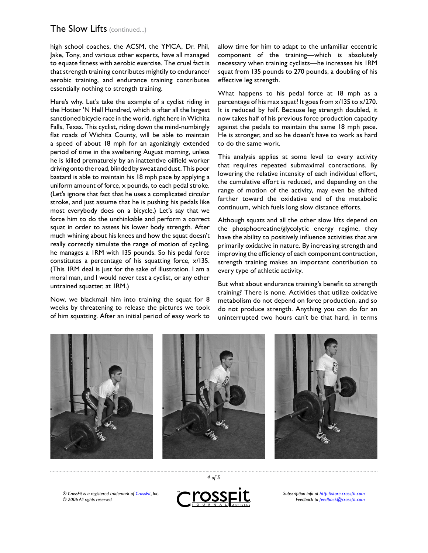high school coaches, the ACSM, the YMCA, Dr. Phil, Jake, Tony, and various other experts, have all managed to equate fitness with aerobic exercise. The cruel fact is that strength training contributes mightily to endurance/ aerobic training, and endurance training contributes essentially nothing to strength training.

Here's why. Let's take the example of a cyclist riding in the Hotter 'N Hell Hundred, which is after all the largest sanctioned bicycle race in the world, right here in Wichita Falls, Texas. This cyclist, riding down the mind-numbingly flat roads of Wichita County, will be able to maintain a speed of about 18 mph for an agonizingly extended period of time in the sweltering August morning, unless he is killed prematurely by an inattentive oilfield worker driving onto the road, blinded by sweat and dust. This poor bastard is able to maintain his 18 mph pace by applying a uniform amount of force, x pounds, to each pedal stroke. (Let's ignore that fact that he uses a complicated circular stroke, and just assume that he is pushing his pedals like most everybody does on a bicycle.) Let's say that we force him to do the unthinkable and perform a correct squat in order to assess his lower body strength. After much whining about his knees and how the squat doesn't really correctly simulate the range of motion of cycling, he manages a 1RM with 135 pounds. So his pedal force constitutes a percentage of his squatting force, x/135. (This 1RM deal is just for the sake of illustration. I am a moral man, and I would never test a cyclist, or any other untrained squatter, at 1RM.)

Now, we blackmail him into training the squat for 8 weeks by threatening to release the pictures we took of him squatting. After an initial period of easy work to allow time for him to adapt to the unfamiliar eccentric component of the training—which is absolutely necessary when training cyclists—he increases his 1RM squat from 135 pounds to 270 pounds, a doubling of his effective leg strength.

What happens to his pedal force at 18 mph as a percentage of his max squat? It goes from x/135 to x/270. It is reduced by half. Because leg strength doubled, it now takes half of his previous force production capacity against the pedals to maintain the same 18 mph pace. He is stronger, and so he doesn't have to work as hard to do the same work.

This analysis applies at some level to every activity that requires repeated submaximal contractions. By lowering the relative intensity of each individual effort, the cumulative effort is reduced, and depending on the range of motion of the activity, may even be shifted farther toward the oxidative end of the metabolic continuum, which fuels long slow distance efforts.

Although squats and all the other slow lifts depend on the phosphocreatine/glycolytic energy regime, they have the ability to positively influence activities that are primarily oxidative in nature. By increasing strength and improving the efficiency of each component contraction, strength training makes an important contribution to every type of athletic activity.

But what about endurance training's benefit to strength training? There is none. Activities that utilize oxidative metabolism do not depend on force production, and so do not produce strength. Anything you can do for an uninterrupted two hours can't be that hard, in terms



*® CrossFit is a registered trademark of [CrossFit,](http://www.crossfit.com) Inc. © 2006 All rights reserved.*



 *of 5*